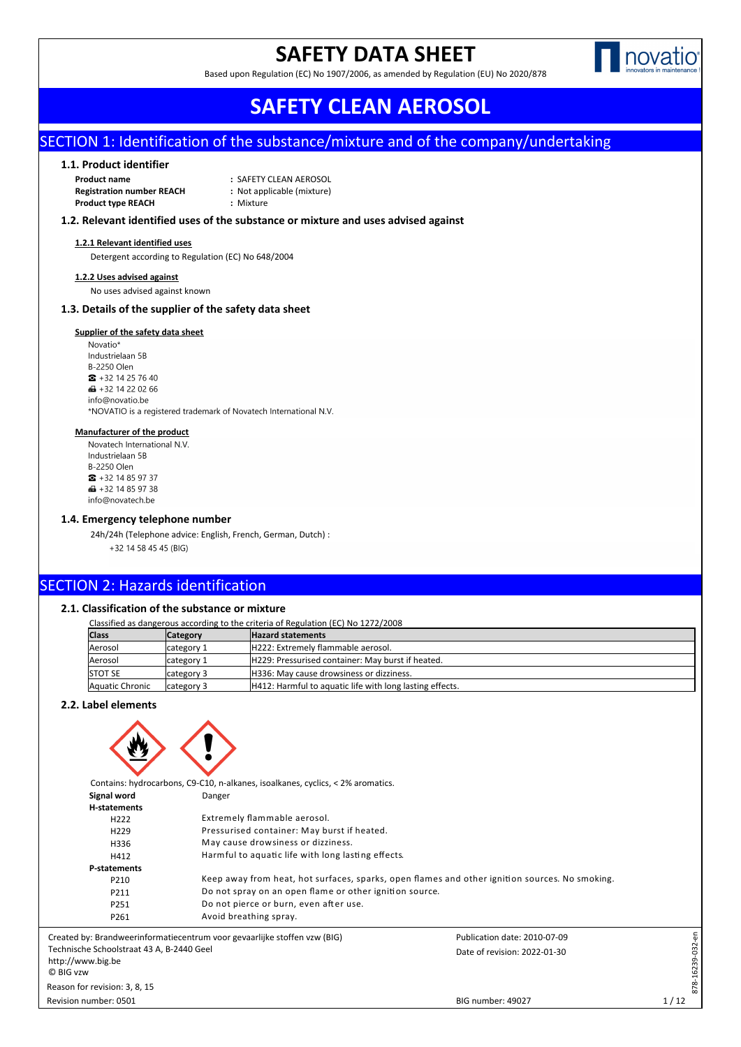## **SAFETY DATA SHEET**

Based upon Regulation (EC) No 1907/2006, as amended by Regulation (EU) No 2020/878



# Publication date: 2010-07-09 BIG number: 49027 Date of revision: 2022-01-30 Revision number: 0501 **SAFETY CLEAN AEROSOL**

## SECTION 1: Identification of the substance/mixture and of the company/undertaking

#### **1.1. Product identifier**

| <b>Product name</b>              | : SAFETY CLEAN AEROSOL     |
|----------------------------------|----------------------------|
| <b>Registration number REACH</b> | : Not applicable (mixture) |
| <b>Product type REACH</b>        | : Mixture                  |

#### **1.2. Relevant identified uses of the substance or mixture and uses advised against**

#### **1.2.1 Relevant identified uses**

Detergent according to Regulation (EC) No 648/2004

#### **1.2.2 Uses advised against**

No uses advised against known

#### **1.3. Details of the supplier of the safety data sheet**

#### **Supplier of the safety data sheet**

Novatio\* Industrielaan 5B **B-2250 Olen**  $\frac{1}{2}$  + 32 14 25 76 40 **■ +32 14 22 02 66** info@novatio.be \*NOVATIO is a registered trademark of Novatech International N.V.

#### **Manufacturer of the product**

Novatech International N.V. Industrielaan 5B **B-2250 Olen**  $\bullet$  +32 14 85 97 37  $\bigoplus$  +32 14 85 97 38 info@novatech.be

#### **1.4. Emergency telephone number**

24h/24h (Telephone advice: English, French, German, Dutch) : +32 14 58 45 45 (BIG)

## SECTION 2: Hazards identification

#### **2.1. Classification of the substance or mixture**

Classified as dangerous according to the criteria of Regulation (EC) No 1272/2008

| <b>Class</b>    | <b>Category</b> | <b>Hazard statements</b>                                 |
|-----------------|-----------------|----------------------------------------------------------|
| Aerosol         | category 1      | H222: Extremely flammable aerosol.                       |
| Aerosol         | lcategory 1     | H229: Pressurised container: May burst if heated.        |
| <b>STOT SE</b>  | category 3      | H336: May cause drowsiness or dizziness.                 |
| Aquatic Chronic | category 3      | H412: Harmful to aquatic life with long lasting effects. |

#### **2.2. Label elements**



| Signal word                      | Danger                                                                                         |                              |           |  |  |  |  |  |
|----------------------------------|------------------------------------------------------------------------------------------------|------------------------------|-----------|--|--|--|--|--|
| H-statements                     |                                                                                                |                              |           |  |  |  |  |  |
| H <sub>222</sub>                 | Extremely flammable aerosol.                                                                   |                              |           |  |  |  |  |  |
| H <sub>229</sub>                 | Pressurised container: May burst if heated.                                                    |                              |           |  |  |  |  |  |
| H336                             | May cause drowsiness or dizziness.                                                             |                              |           |  |  |  |  |  |
| H412                             | Harmful to aquatic life with long lasting effects.                                             |                              |           |  |  |  |  |  |
| P-statements                     |                                                                                                |                              |           |  |  |  |  |  |
| P210                             | Keep away from heat, hot surfaces, sparks, open flames and other ignition sources. No smoking. |                              |           |  |  |  |  |  |
| P211                             | Do not spray on an open flame or other ignition source.                                        |                              |           |  |  |  |  |  |
| P251                             | Do not pierce or burn, even after use.                                                         |                              |           |  |  |  |  |  |
| P261                             | Avoid breathing spray.                                                                         |                              |           |  |  |  |  |  |
|                                  | y: Brandweerinformatiecentrum voor gevaarlijke stoffen vzw (BIG)                               | Publication date: 2010-07-09 | έè        |  |  |  |  |  |
| e Schoolstraat 43 A, B-2440 Geel |                                                                                                | Date of revision: 2022-01-30 | 16239-032 |  |  |  |  |  |
| vw.big.be                        |                                                                                                |                              |           |  |  |  |  |  |
| N                                |                                                                                                |                              |           |  |  |  |  |  |
| r revision: 3, 8, 15             |                                                                                                |                              | 878-      |  |  |  |  |  |
|                                  |                                                                                                |                              |           |  |  |  |  |  |

Created by: Brandweerinformatiecentrum voor gevaarlijke stoffen vzw (BIG) Technische Schoolstraat 43 A, B-2440 Geel http://www.big.be © BIG vzw Reason for revision: 3, 8, 15

Revision number: 0501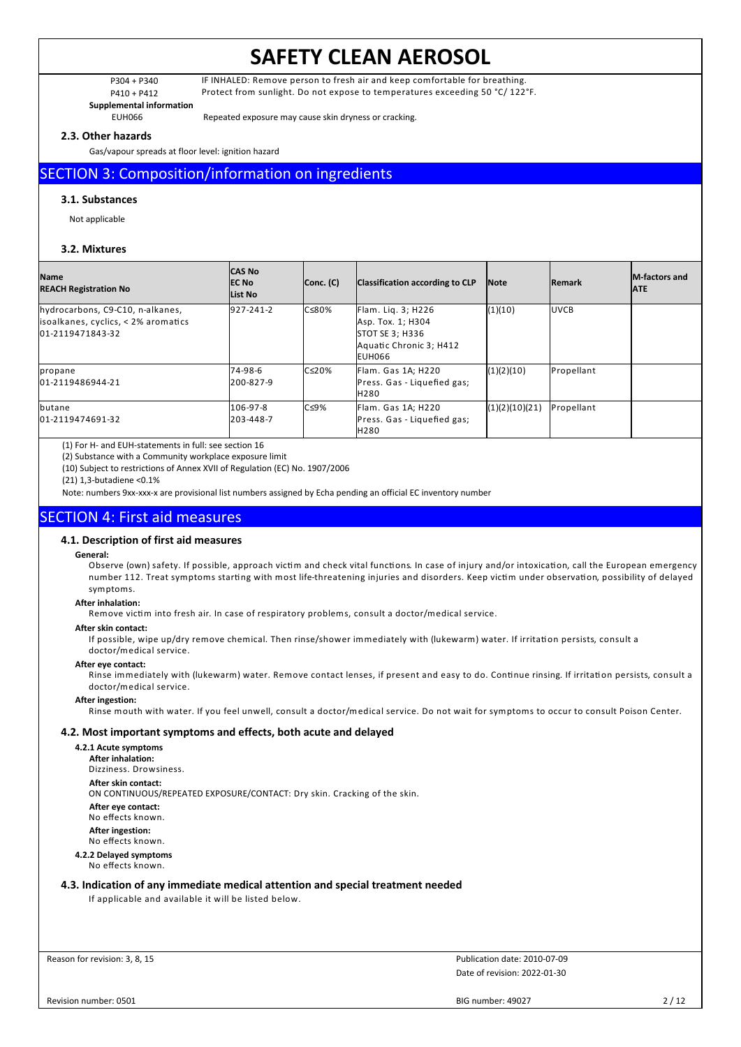P304 + P340 IF INHALED: Remove person to fresh air and keep comfortable for breathing. P410 + P412 Protect from sunlight. Do not expose to temperatures exceeding 50 °C/ 122°F.

**Supplemental information**

EUH066 Repeated exposure may cause skin dryness or cracking.

#### **2.3. Other hazards**

Gas/vapour spreads at floor level: ignition hazard

## SECTION 3: Composition/information on ingredients

#### **3.1. Substances**

Not applicable

#### **3.2. Mixtures**

| <b>Name</b><br><b>REACH Registration No</b>                                                 | <b>CAS No</b><br><b>IEC No</b><br>List No | Conc. (C)     | Classification according to CLP                                                                        | Note           | <b>Remark</b> | <b>IM-factors and</b><br><b>JATE</b> |
|---------------------------------------------------------------------------------------------|-------------------------------------------|---------------|--------------------------------------------------------------------------------------------------------|----------------|---------------|--------------------------------------|
| hydrocarbons, C9-C10, n-alkanes,<br>isoalkanes, cyclics, < 2% aromatics<br>01-2119471843-32 | 927-241-2                                 | $C \le 80\%$  | Flam. Lig. 3; H226<br>Asp. Tox. 1; H304<br><b>STOT SE 3: H336</b><br>Aquatic Chronic 3; H412<br>EUH066 | (1)(10)        | <b>IUVCB</b>  |                                      |
| propane<br>01-2119486944-21                                                                 | 74-98-6<br>I200-827-9                     | $C \leq 20\%$ | Flam. Gas 1A; H220<br>Press. Gas - Liquefied gas;<br><b>H280</b>                                       | (1)(2)(10)     | Propellant    |                                      |
| butane<br>01-2119474691-32                                                                  | 106-97-8<br>1203-448-7                    | $C \leq 9\%$  | Flam. Gas 1A; H220<br>Press. Gas - Liquefied gas;<br>H <sub>280</sub>                                  | (1)(2)(10)(21) | Propellant    |                                      |

(1) For H- and EUH-statements in full: see section 16

(2) Substance with a Community workplace exposure limit

(10) Subject to restrictions of Annex XVII of Regulation (EC) No. 1907/2006

(21) 1,3-butadiene <0.1%

Note: numbers 9xx-xxx-x are provisional list numbers assigned by Echa pending an official EC inventory number

## SECTION 4: First aid measures

#### **4.1. Description of first aid measures**

#### **General:**

Observe (own) safety. If possible, approach victim and check vital functions. In case of injury and/or intoxication, call the European emergency number 112. Treat symptoms starting with most life-threatening injuries and disorders. Keep victim under observation, possibility of delayed symptoms.

#### **After inhalation:**

Remove victim into fresh air. In case of respiratory problems, consult a doctor/medical service.

#### **After skin contact:**

If possible, wipe up/dry remove chemical. Then rinse/shower immediately with (lukewarm) water. If irritation persists, consult a doctor/medical service.

#### **After eye contact:**

Rinse immediately with (lukewarm) water. Remove contact lenses, if present and easy to do. Continue rinsing. If irritation persists, consult a doctor/medical service.

#### **After ingestion:**

Rinse mouth with water. If you feel unwell, consult a doctor/medical service. Do not wait for symptoms to occur to consult Poison Center.

#### **4.2. Most important symptoms and effects, both acute and delayed**

**4.2.1 Acute symptoms After inhalation:** Dizziness. Drowsiness. **After skin contact:** ON CONTINUOUS/REPEATED EXPOSURE/CONTACT: Dry skin. Cracking of the skin. **After eye contact:** No effects known. **After ingestion:** No effects known. **4.2.2 Delayed symptoms** No effects known.

#### **4.3. Indication of any immediate medical attention and special treatment needed**

If applicable and available it will be listed below.

Reason for revision: 3, 8, 15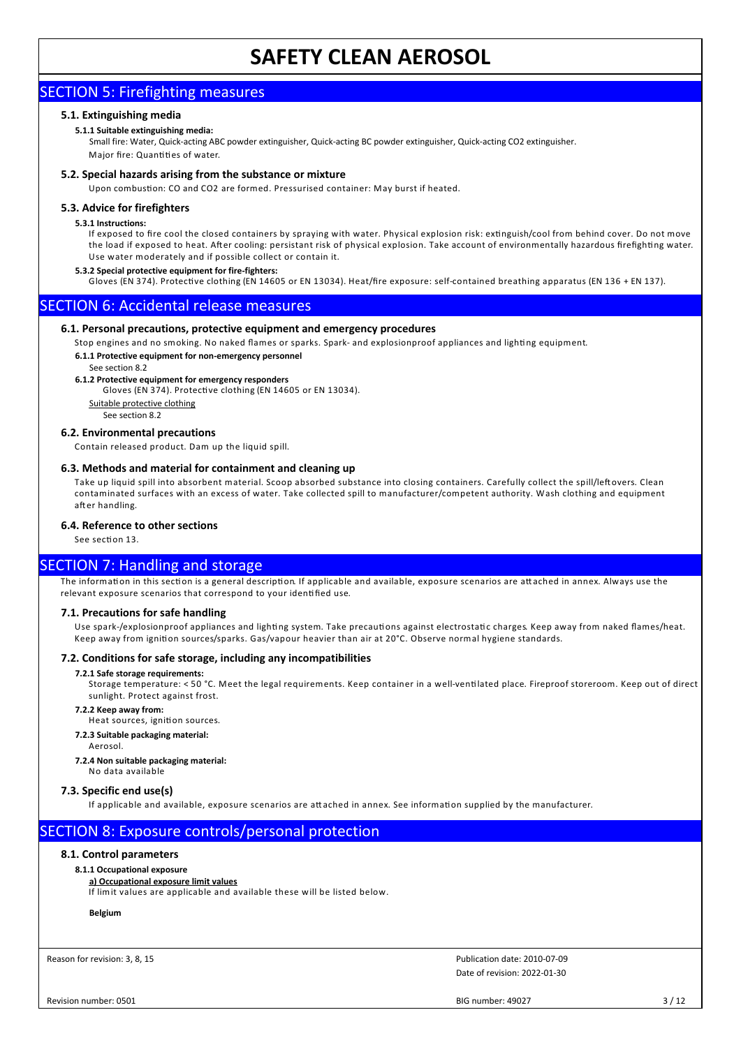## SECTION 5: Firefighting measures

### **5.1. Extinguishing media**

#### **5.1.1 Suitable extinguishing media:**

Small fire: Water, Quick-acting ABC powder extinguisher, Quick-acting BC powder extinguisher, Quick-acting CO2 extinguisher. Major fire: Quantities of water.

#### **5.2. Special hazards arising from the substance or mixture**

Upon combustion: CO and CO2 are formed. Pressurised container: May burst if heated.

#### **5.3. Advice for firefighters**

#### **5.3.1 Instructions:**

If exposed to fire cool the closed containers by spraying with water. Physical explosion risk: extinguish/cool from behind cover. Do not move the load if exposed to heat. After cooling: persistant risk of physical explosion. Take account of environmentally hazardous firefighting water. Use water moderately and if possible collect or contain it.

#### **5.3.2 Special protective equipment for fire-fighters:**

Gloves (EN 374). Protective clothing (EN 14605 or EN 13034). Heat/fire exposure: self-contained breathing apparatus (EN 136 + EN 137).

## SECTION 6: Accidental release measures

#### **6.1. Personal precautions, protective equipment and emergency procedures**

Stop engines and no smoking. No naked flames or sparks. Spark- and explosionproof appliances and lighting equipment.

#### **6.1.1 Protective equipment for non-emergency personnel**

#### See section 8.2

### **6.1.2 Protective equipment for emergency responders**

Gloves (EN 374). Protective clothing (EN 14605 or EN 13034).

Suitable protective clothing See section 8.2

#### **6.2. Environmental precautions**

Contain released product. Dam up the liquid spill.

#### **6.3. Methods and material for containment and cleaning up**

Take up liquid spill into absorbent material. Scoop absorbed substance into closing containers. Carefully collect the spill/leftovers. Clean contaminated surfaces with an excess of water. Take collected spill to manufacturer/competent authority. Wash clothing and equipment after handling

#### **6.4. Reference to other sections**

See section 13.

### SECTION 7: Handling and storage

The information in this section is a general description. If applicable and available, exposure scenarios are attached in annex. Always use the relevant exposure scenarios that correspond to your identified use.

#### **7.1. Precautions for safe handling**

Use spark-/explosionproof appliances and lighting system. Take precautions against electrostatic charges. Keep away from naked flames/heat. Keep away from ignition sources/sparks. Gas/vapour heavier than air at 20°C. Observe normal hygiene standards.

#### **7.2. Conditions for safe storage, including any incompatibilities**

#### **7.2.1 Safe storage requirements:**

Storage temperature: < 50 °C. Meet the legal requirements. Keep container in a well-ventilated place. Fireproof storeroom. Keep out of direct sunlight. Protect against frost.

#### **7.2.2 Keep away from:**

Heat sources, ignition sources.

- **7.2.3 Suitable packaging material:**
	- Aerosol.

**7.2.4 Non suitable packaging material:**

No data available

#### **7.3. Specific end use(s)**

If applicable and available, exposure scenarios are attached in annex. See information supplied by the manufacturer.

## SECTION 8: Exposure controls/personal protection

#### **8.1. Control parameters**

#### **8.1.1 Occupational exposure**

### **a) Occupational exposure limit values**

If lim it values are applicable and available these will be listed below.

**Belgium**

Reason for revision: 3, 8, 15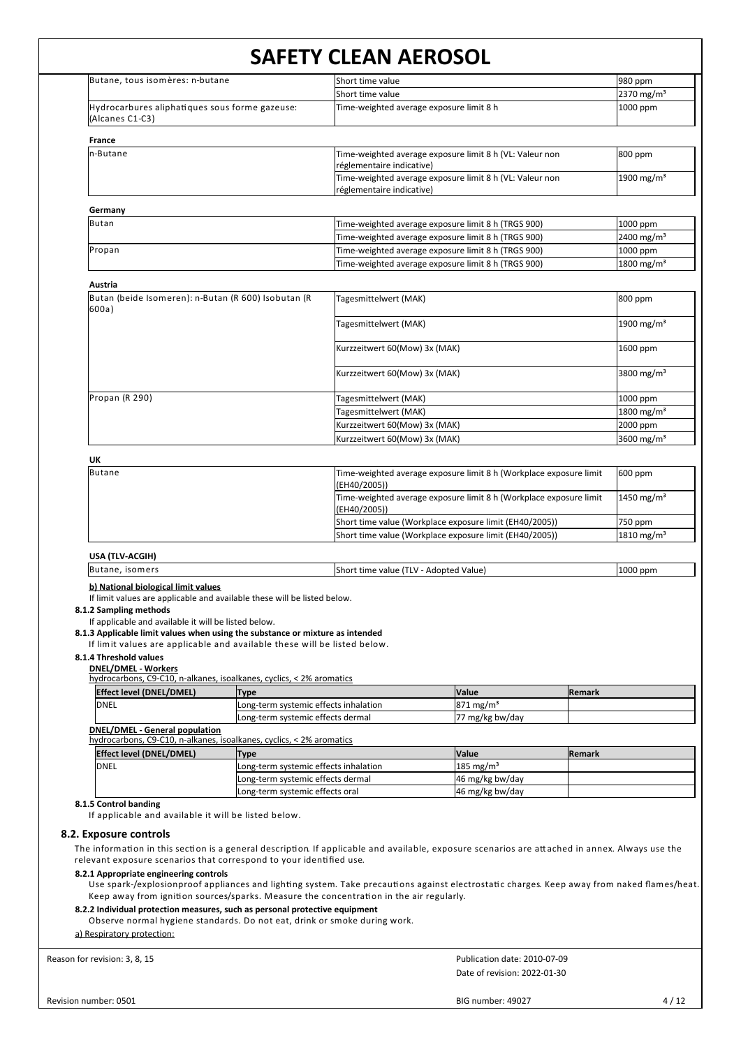| Butane, tous isomères: n-butane                                                                                                                                                                                                                                           |                                       | Short time value                                                                                                                                                                                                                                                                                                                                                                          | 980 ppm                |
|---------------------------------------------------------------------------------------------------------------------------------------------------------------------------------------------------------------------------------------------------------------------------|---------------------------------------|-------------------------------------------------------------------------------------------------------------------------------------------------------------------------------------------------------------------------------------------------------------------------------------------------------------------------------------------------------------------------------------------|------------------------|
|                                                                                                                                                                                                                                                                           |                                       | Short time value                                                                                                                                                                                                                                                                                                                                                                          | 2370 mg/m <sup>3</sup> |
| Hydrocarbures aliphatiques sous forme gazeuse:                                                                                                                                                                                                                            |                                       | Time-weighted average exposure limit 8 h                                                                                                                                                                                                                                                                                                                                                  | 1000 ppm               |
| (Alcanes C1-C3)                                                                                                                                                                                                                                                           |                                       |                                                                                                                                                                                                                                                                                                                                                                                           |                        |
| France                                                                                                                                                                                                                                                                    |                                       |                                                                                                                                                                                                                                                                                                                                                                                           |                        |
| n-Butane                                                                                                                                                                                                                                                                  |                                       | Time-weighted average exposure limit 8 h (VL: Valeur non<br>réglementaire indicative)                                                                                                                                                                                                                                                                                                     | 800 ppm                |
|                                                                                                                                                                                                                                                                           |                                       | Time-weighted average exposure limit 8 h (VL: Valeur non<br>réglementaire indicative)                                                                                                                                                                                                                                                                                                     | 1900 mg/m <sup>3</sup> |
| Germany                                                                                                                                                                                                                                                                   |                                       |                                                                                                                                                                                                                                                                                                                                                                                           |                        |
| <b>Butan</b>                                                                                                                                                                                                                                                              |                                       | Time-weighted average exposure limit 8 h (TRGS 900)                                                                                                                                                                                                                                                                                                                                       | 1000 ppm               |
|                                                                                                                                                                                                                                                                           |                                       | Time-weighted average exposure limit 8 h (TRGS 900)                                                                                                                                                                                                                                                                                                                                       | 2400 mg/m <sup>3</sup> |
| Propan                                                                                                                                                                                                                                                                    |                                       | Time-weighted average exposure limit 8 h (TRGS 900)                                                                                                                                                                                                                                                                                                                                       | 1000 ppm               |
|                                                                                                                                                                                                                                                                           |                                       | Time-weighted average exposure limit 8 h (TRGS 900)                                                                                                                                                                                                                                                                                                                                       | 1800 mg/m <sup>3</sup> |
| Austria                                                                                                                                                                                                                                                                   |                                       |                                                                                                                                                                                                                                                                                                                                                                                           |                        |
| Butan (beide Isomeren): n-Butan (R 600) Isobutan (R<br>600a)                                                                                                                                                                                                              |                                       | Tagesmittelwert (MAK)                                                                                                                                                                                                                                                                                                                                                                     | 800 ppm                |
|                                                                                                                                                                                                                                                                           |                                       | Tagesmittelwert (MAK)                                                                                                                                                                                                                                                                                                                                                                     | 1900 mg/m <sup>3</sup> |
|                                                                                                                                                                                                                                                                           |                                       | Kurzzeitwert 60(Mow) 3x (MAK)                                                                                                                                                                                                                                                                                                                                                             | 1600 ppm               |
|                                                                                                                                                                                                                                                                           |                                       | Kurzzeitwert 60(Mow) 3x (MAK)                                                                                                                                                                                                                                                                                                                                                             | 3800 mg/m <sup>3</sup> |
|                                                                                                                                                                                                                                                                           |                                       |                                                                                                                                                                                                                                                                                                                                                                                           |                        |
| Propan (R 290)                                                                                                                                                                                                                                                            |                                       | Fagesmittelwert (MAK)                                                                                                                                                                                                                                                                                                                                                                     | 1000 ppm               |
|                                                                                                                                                                                                                                                                           |                                       | Tagesmittelwert (MAK)                                                                                                                                                                                                                                                                                                                                                                     | 1800 mg/m <sup>3</sup> |
|                                                                                                                                                                                                                                                                           |                                       | Kurzzeitwert 60(Mow) 3x (MAK)                                                                                                                                                                                                                                                                                                                                                             | 2000 ppm               |
|                                                                                                                                                                                                                                                                           |                                       | Kurzzeitwert 60(Mow) 3x (MAK)                                                                                                                                                                                                                                                                                                                                                             | 3600 mg/m <sup>3</sup> |
| UK                                                                                                                                                                                                                                                                        |                                       |                                                                                                                                                                                                                                                                                                                                                                                           |                        |
| Butane                                                                                                                                                                                                                                                                    |                                       | Time-weighted average exposure limit 8 h (Workplace exposure limit<br>(EH40/2005))                                                                                                                                                                                                                                                                                                        | 600 ppm                |
|                                                                                                                                                                                                                                                                           |                                       | Time-weighted average exposure limit 8 h (Workplace exposure limit<br>(EH40/2005))                                                                                                                                                                                                                                                                                                        | 1450 mg/m <sup>3</sup> |
|                                                                                                                                                                                                                                                                           |                                       | Short time value (Workplace exposure limit (EH40/2005))                                                                                                                                                                                                                                                                                                                                   | 750 ppm                |
|                                                                                                                                                                                                                                                                           |                                       | Short time value (Workplace exposure limit (EH40/2005))                                                                                                                                                                                                                                                                                                                                   | 1810 mg/m <sup>3</sup> |
| USA (TLV-ACGIH)                                                                                                                                                                                                                                                           |                                       |                                                                                                                                                                                                                                                                                                                                                                                           |                        |
| Butane, isomers                                                                                                                                                                                                                                                           |                                       | Short time value (TLV - Adopted Value)                                                                                                                                                                                                                                                                                                                                                    | 1000 ppm               |
| 8.1.2 Sampling methods                                                                                                                                                                                                                                                    |                                       |                                                                                                                                                                                                                                                                                                                                                                                           |                        |
| If applicable and available it will be listed below.<br>8.1.3 Applicable limit values when using the substance or mixture as intended<br>If limit values are applicable and available these will be listed below.<br>8.1.4 Threshold values<br><b>DNEL/DMEL - Workers</b> |                                       |                                                                                                                                                                                                                                                                                                                                                                                           |                        |
| hydrocarbons, C9-C10, n-alkanes, isoalkanes, cyclics, < 2% aromatics                                                                                                                                                                                                      |                                       |                                                                                                                                                                                                                                                                                                                                                                                           |                        |
| <b>Effect level (DNEL/DMEL)</b>                                                                                                                                                                                                                                           | <b>Type</b>                           | Value<br><b>Remark</b>                                                                                                                                                                                                                                                                                                                                                                    |                        |
| IDNEL                                                                                                                                                                                                                                                                     | Long-term systemic effects inhalation | 871 mg/m <sup>3</sup>                                                                                                                                                                                                                                                                                                                                                                     |                        |
| <b>DNEL/DMEL - General population</b>                                                                                                                                                                                                                                     | Long-term systemic effects dermal     | 77 mg/kg bw/day                                                                                                                                                                                                                                                                                                                                                                           |                        |
| hydrocarbons, C9-C10, n-alkanes, isoalkanes, cyclics, < 2% aromatics                                                                                                                                                                                                      |                                       |                                                                                                                                                                                                                                                                                                                                                                                           |                        |
| <b>Effect level (DNEL/DMEL)</b>                                                                                                                                                                                                                                           | <b>Type</b>                           | Value<br><b>Remark</b>                                                                                                                                                                                                                                                                                                                                                                    |                        |
| IDNEL                                                                                                                                                                                                                                                                     | Long-term systemic effects inhalation | 185 mg/m <sup>3</sup>                                                                                                                                                                                                                                                                                                                                                                     |                        |
|                                                                                                                                                                                                                                                                           | Long-term systemic effects dermal     | 46 mg/kg bw/day                                                                                                                                                                                                                                                                                                                                                                           |                        |
| 8.1.5 Control banding                                                                                                                                                                                                                                                     | Long-term systemic effects oral       | 46 mg/kg bw/day                                                                                                                                                                                                                                                                                                                                                                           |                        |
| If applicable and available it will be listed below.<br>8.2. Exposure controls<br>relevant exposure scenarios that correspond to your identified use.<br>8.2.1 Appropriate engineering controls                                                                           |                                       | The information in this section is a general description. If applicable and available, exposure scenarios are attached in annex. Always use the<br>Use spark-/explosionproof appliances and lighting system. Take precautions against electrostatic charges. Keep away from naked flames/heat.<br>Keep away from ignition sources/sparks. Measure the concentration in the air regularly. |                        |
| 8.2.2 Individual protection measures, such as personal protective equipment<br>Observe normal hygiene standards. Do not eat, drink or smoke during work.<br>a) Respiratory protection:                                                                                    |                                       |                                                                                                                                                                                                                                                                                                                                                                                           |                        |
|                                                                                                                                                                                                                                                                           |                                       |                                                                                                                                                                                                                                                                                                                                                                                           |                        |
| Reason for revision: 3, 8, 15                                                                                                                                                                                                                                             |                                       | Publication date: 2010-07-09<br>Date of revision: 2022-01-30                                                                                                                                                                                                                                                                                                                              |                        |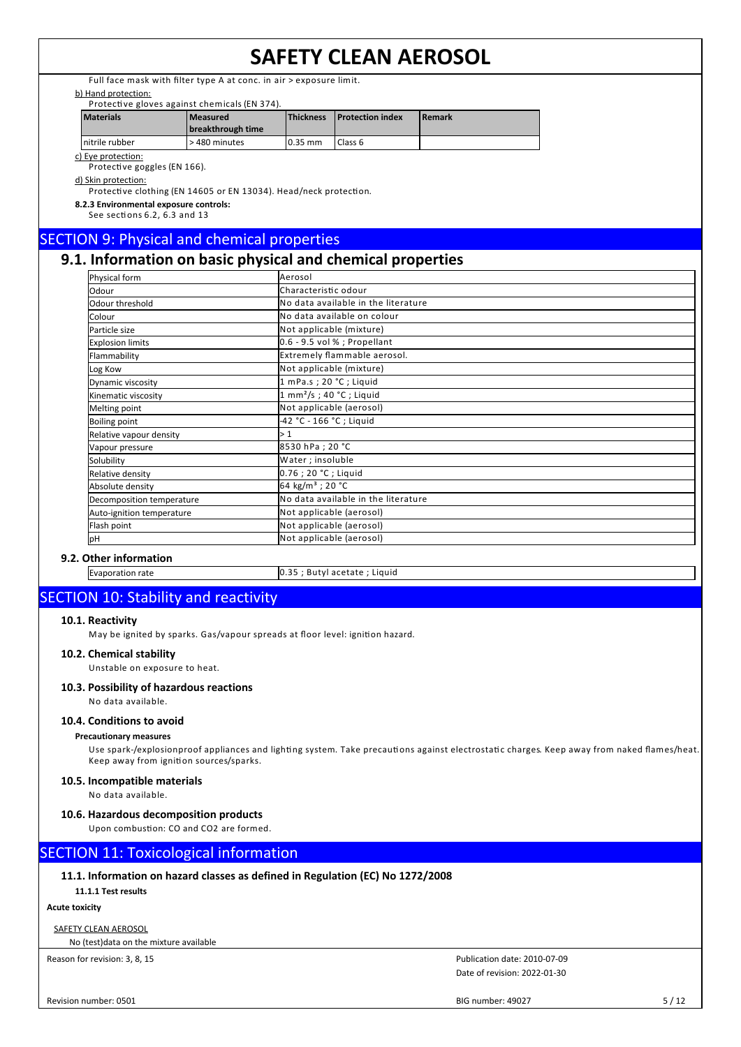Full face mask with filter type A at conc. in air > exposure limit.

#### b) Hand protection:

| Protective gloves against chemicals (EN 374). |  |  |  |
|-----------------------------------------------|--|--|--|
|                                               |  |  |  |

| <b>Materials</b> | l Measured<br>breakthrough time | <b>Thickness</b> | <b>Protection index</b> | l Remark |
|------------------|---------------------------------|------------------|-------------------------|----------|
| nitrile rubber   | > 480 minutes                   | $10.35$ mm       | I Class 6               |          |

c) Eye protection:

Protective goggles (EN 166).

#### d) Skin protection:

Protective clothing (EN 14605 or EN 13034). Head/neck protection.

**8.2.3 Environmental exposure controls:** See sections 6.2, 6.3 and 13

## SECTION 9: Physical and chemical properties

## **9.1. Information on basic physical and chemical properties**

| Physical form             | Aerosol                                   |
|---------------------------|-------------------------------------------|
| Odour                     | Characteristic odour                      |
| Odour threshold           | No data available in the literature       |
| Colour                    | <b>I</b> No data available on colour      |
| Particle size             | Not applicable (mixture)                  |
| <b>Explosion limits</b>   | $0.6 - 9.5$ vol % ; Propellant            |
| Flammability              | Extremely flammable aerosol.              |
| Log Kow                   | Not applicable (mixture)                  |
| Dynamic viscosity         | 1 mPa.s; 20 °C; Liquid                    |
| Kinematic viscosity       | $1 \text{ mm}^2/\text{s}$ ; 40 °C; Liquid |
| Melting point             | Not applicable (aerosol)                  |
| Boiling point             | -42 °C - 166 °C ; Liguid                  |
| Relative vapour density   | l> 1                                      |
| Vapour pressure           | 8530 hPa ; 20 °C                          |
| Solubility                | Water ; insoluble                         |
| Relative density          | 0.76 ; 20 °C ; Liquid                     |
| Absolute density          | 64 kg/m <sup>3</sup> ; 20 °C              |
| Decomposition temperature | No data available in the literature       |
| Auto-ignition temperature | Not applicable (aerosol)                  |
| Flash point               | Not applicable (aerosol)                  |
| pН                        | Not applicable (aerosol)                  |

### **9.2. Other information**

Evaporation rate 0.35 ; Butyl acetate ; Liquid

## SECTION 10: Stability and reactivity

#### **10.1. Reactivity**

May be ignited by sparks. Gas/vapour spreads at floor level: ignition hazard.

#### **10.2. Chemical stability**

Unstable on exposure to heat.

#### **10.3. Possibility of hazardous reactions**

No data available.

#### **10.4. Conditions to avoid**

#### **Precautionary measures**

Use spark-/explosionproof appliances and lighting system. Take precautions against electrostatic charges. Keep away from naked flames/heat. Keep away from ignition sources/sparks.

#### **10.5. Incompatible materials**

#### No data available.

#### **10.6. Hazardous decomposition products**

Upon combustion: CO and CO2 are formed.

## SECTION 11: Toxicological information

#### **11.1. Information on hazard classes as defined in Regulation (EC) No 1272/2008**

**11.1.1 Test results**

### **Acute toxicity**

SAFETY CLEAN AEROSOL

No (test)data on the mixture available

Reason for revision: 3, 8, 15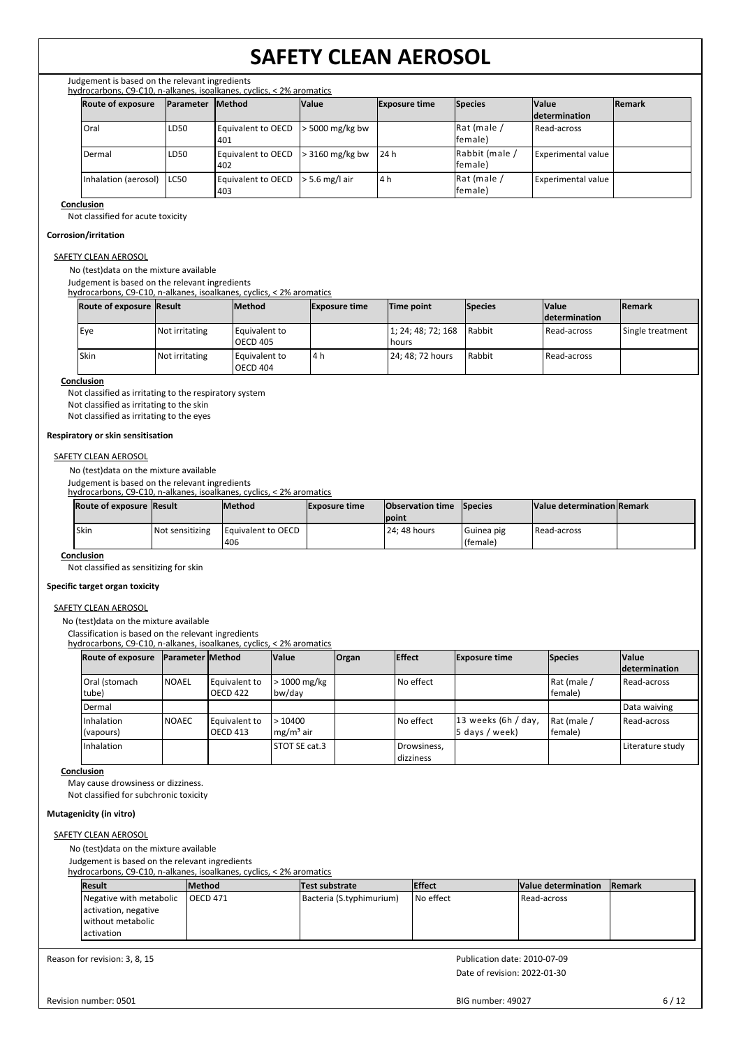Judgement is based on the relevant ingredients hydrocarbons, C9-C10, n-alkanes, isoalkanes, cyclics, < 2% aromatics

| <b>Route of exposure</b> | <b>IParameter</b> | <b>Method</b>             | <b>Value</b>          | <b>Exposure time</b> | Species                    | <b>Value</b>       | <b>Remark</b> |
|--------------------------|-------------------|---------------------------|-----------------------|----------------------|----------------------------|--------------------|---------------|
|                          |                   |                           |                       |                      |                            | determination      |               |
| Oral                     | LD <sub>50</sub>  | Equivalent to OECD<br>401 | $\cdot$ 5000 mg/kg bw |                      | Rat (male /<br>lfemale)    | Read-across        |               |
| Dermal                   | LD <sub>50</sub>  | Equivalent to OECD<br>402 | $>$ 3160 mg/kg bw     | 24 h                 | Rabbit (male /<br>lfemale) | Experimental value |               |
| Inhalation (aerosol)     | ILC50             | Equivalent to OECD<br>403 | $\ge$ 5.6 mg/l air    | 4 h                  | Rat (male /<br>lfemale)    | Experimental value |               |

#### **Conclusion**

Not classified for acute toxicity

#### **Corrosion/irritation**

#### SAFETY CLEAN AEROSOL

No (test)data on the mixture available

Judgement is based on the relevant ingredients

hydrocarbons, C9-C10, n-alkanes, isoalkanes, cyclics, < 2% aromatics

| <b>Route of exposure Result</b> |                | <b>Method</b>                    | <b>Exposure time</b> | Time point                  | <b>Species</b> | <b>Value</b>          | <b>Remark</b>    |
|---------------------------------|----------------|----------------------------------|----------------------|-----------------------------|----------------|-----------------------|------------------|
|                                 |                |                                  |                      |                             |                | <b>Idetermination</b> |                  |
| Eye                             | Not irritating | Equivalent to<br><b>OECD 405</b> |                      | 1; 24; 48; 72; 168<br>hours | Rabbit         | Read-across           | Single treatment |
| <b>Skin</b>                     | Not irritating | Equivalent to<br><b>OECD 404</b> | l4h                  | 24; 48; 72 hours            | Rabbit         | Read-across           |                  |

#### **Conclusion**

Not classified as irritating to the respiratory system Not classified as irritating to the skin

Not classified as irritating to the eyes

#### **Respiratory or skin sensitisation**

#### **SAFETY CLEAN AEROSOL**

No (test)data on the mixture available

Judgement is based on the relevant ingredients

hydrocarbons, C9-C10, n-alkanes, isoalkanes, cyclics, < 2% aromatics

|       | Route of exposure Result |                 | <b>IMethod</b>                     | <b>Exposure time</b> | <b>Observation time Species</b> |                          | Value determination Remark |  |
|-------|--------------------------|-----------------|------------------------------------|----------------------|---------------------------------|--------------------------|----------------------------|--|
|       |                          |                 |                                    |                      | <b>Ipoint</b>                   |                          |                            |  |
| 'Skin |                          | Not sensitizing | <b>I Equivalent to OECD</b><br>406 |                      | 124: 48 hours                   | I Guinea pig<br>(female) | Read-across                |  |

#### **Conclusion**

Not classified as sensitizing for skin

#### **Specific target organ toxicity**

#### SAFETY CLEAN AEROSOL

No (test)data on the mixture available

Classification is based on the relevant ingredients

hydrocarbons, C9-C10, n-alkanes, isoalkanes, cyclics, < 2% aromatics

| <b>Route of exposure</b> | <b>Parameter Method</b> |                 | <b>Value</b>       | <b>Organ</b> | <b>Effect</b> | <b>Exposure time</b>  | <b>Species</b> | <b>Value</b>     |
|--------------------------|-------------------------|-----------------|--------------------|--------------|---------------|-----------------------|----------------|------------------|
|                          |                         |                 |                    |              |               |                       |                | determination    |
| Oral (stomach            | <b>NOAEL</b>            | Equivalent to   | > 1000 mg/kg       |              | No effect     |                       | Rat (male /    | Read-across      |
| tube)                    |                         | OECD 422        | bw/day             |              |               |                       | female)        |                  |
| Dermal                   |                         |                 |                    |              |               |                       |                | Data waiving     |
| Inhalation               | <b>NOAEC</b>            | Equivalent to   | >10400             |              | No effect     | $13$ weeks (6h / day, | Rat (male /    | Read-across      |
| (vapours)                |                         | <b>OECD 413</b> | $\rm{Im}g/m^3$ air |              |               | $5$ days / week)      | female)        |                  |
| Inhalation               |                         |                 | STOT SE cat.3      |              | Drowsiness,   |                       |                | Literature study |
|                          |                         |                 |                    |              | dizziness     |                       |                |                  |

#### **Conclusion**

May cause drowsiness or dizziness.

Not classified for subchronic toxicity

#### **Mutagenicity (in vitro)**

## SAFETY CLEAN AEROSOL

No (test)data on the mixture available

Judgement is based on the relevant ingredients

hydrocarbons, C9-C10, n-alkanes, isoalkanes, cyclics, < 2% aromatics

| Result                  | <b>Method</b> | Test substrate           | <b>Effect</b> | Value determination | <b>Remark</b> |  |  |  |
|-------------------------|---------------|--------------------------|---------------|---------------------|---------------|--|--|--|
| Negative with metabolic | IOECD 471     | Bacteria (S.typhimurium) | No effect     | l Read-across       |               |  |  |  |
| activation, negative    |               |                          |               |                     |               |  |  |  |
| without metabolic       |               |                          |               |                     |               |  |  |  |
| l activation            |               |                          |               |                     |               |  |  |  |

Reason for revision: 3, 8, 15

Date of revision: 2022-01-30 Publication date: 2010-07-09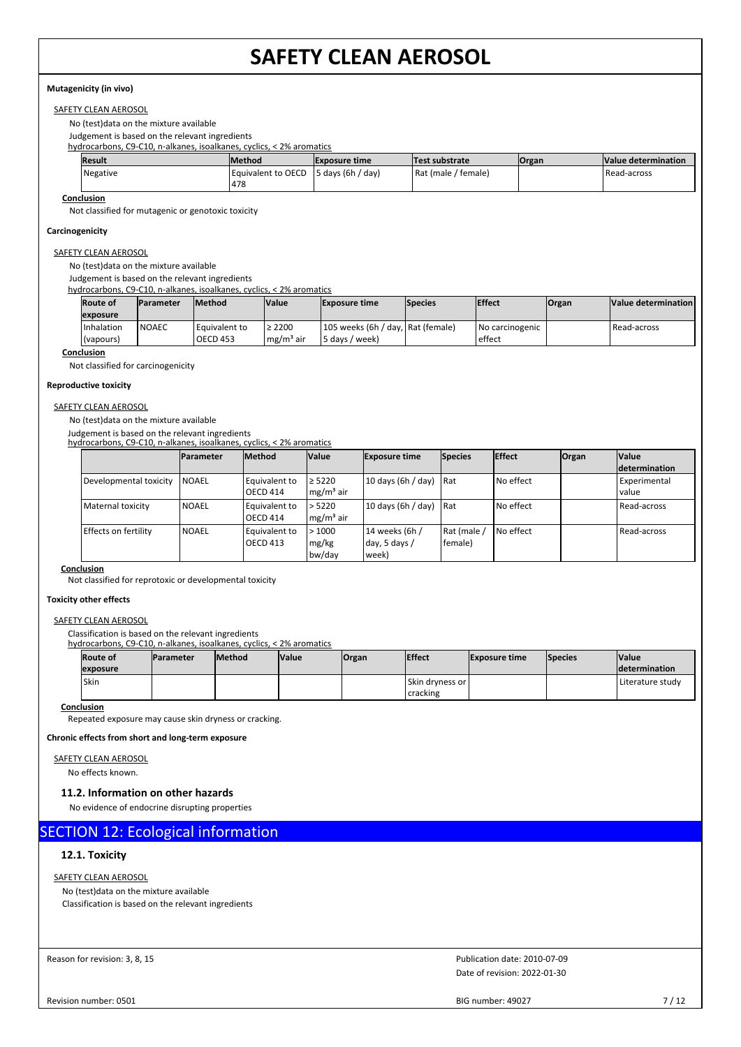#### **Mutagenicity (in vivo)**

### SAFETY CLEAN AEROSOL

No (test)data on the mixture available

Judgement is based on the relevant ingredients

hydrocarbons, C9-C10, n-alkanes, isoalkanes, cyclics, < 2% aromatics

| <b>Result</b> | <b>IMethod</b>               | <b>Exposure time</b> | Test substrate      | <b>Organ</b> | Value determination |
|---------------|------------------------------|----------------------|---------------------|--------------|---------------------|
| Negative      | i Eauivalent to OECD<br>1478 | $5$ days (6h / day)  | Rat (male / female) |              | Read-across         |

**Conclusion**

Not classified for mutagenic or genotoxic toxicity

#### **Carcinogenicity**

SAFETY CLEAN AEROSOL

No (test)data on the mixture available

Judgement is based on the relevant ingredients

hydrocarbons, C9-C10, n-alkanes, isoalkanes, cyclics, < 2% aromatics

| <b>Route of</b>   | <b>Parameter</b> | <b>Method</b>   | <b>Value</b> | <b>Exposure time</b>              | <b>Species</b> | <b>IEffect</b>  | Organ | Value determination |
|-------------------|------------------|-----------------|--------------|-----------------------------------|----------------|-----------------|-------|---------------------|
| exposure          |                  |                 |              |                                   |                |                 |       |                     |
| Inhalation        | <b>NOAEC</b>     | Equivalent to   | $\geq 2200$  | 105 weeks (6h / day, Rat (female) |                | No carcinogenic |       | Read-across         |
| (vapours)         |                  | <b>OECD 453</b> | $me/m3$ air  | 5 days / week)                    |                | effect          |       |                     |
| <b>Conclusion</b> |                  |                 |              |                                   |                |                 |       |                     |

Not classified for carcinogenicity

#### **Reproductive toxicity**

#### SAFETY CLEAN AEROSOL

No (test)data on the mixture available

Judgement is based on the relevant ingredients hydrocarbons, C9-C10, n-alkanes, isoalkanes, cyclics, < 2% aromatics

|                        | <b>IParameter</b> | <b>Method</b>   | <b>Value</b> | <b>Exposure time</b> | <b>Species</b> | <b>Effect</b> | Organ | <b>Value</b>         |
|------------------------|-------------------|-----------------|--------------|----------------------|----------------|---------------|-------|----------------------|
|                        |                   |                 |              |                      |                |               |       | <i>determination</i> |
| Developmental toxicity | <b>NOAEL</b>      | Equivalent to   | $\geq 5220$  | 10 days (6h / day)   | l Rat          | l No effect   |       | <b>Experimental</b>  |
|                        |                   | <b>OECD 414</b> | $mg/m3$ air  |                      |                |               |       | l value              |
| Maternal toxicity      | <b>NOAEL</b>      | Equivalent to   | > 5220       | 10 days (6h / day)   | <b>Rat</b>     | l No effect   |       | Read-across          |
|                        |                   | <b>OECD 414</b> | $mg/m3$ air  |                      |                |               |       |                      |
| Effects on fertility   | <b>NOAEL</b>      | Equivalent to   | >1000        | 14 weeks (6h /       | Rat (male      | I No effect   |       | Read-across          |
|                        |                   | <b>OECD 413</b> | mg/kg        | day, 5 days $/$      | female)        |               |       |                      |
|                        |                   |                 | bw/day       | week)                |                |               |       |                      |

**Conclusion**

Not classified for reprotoxic or developmental toxicity

#### **Toxicity other effects**

#### SAFETY CLEAN AEROSOL

Classification is based on the relevant ingredients

hydrocarbons, C9-C10, n-alkanes, isoalkanes, cyclics, < 2% aromatics

| <b>Route of</b><br>exposure | <b>Parameter</b> | <b>Method</b> | <b>Value</b> | <b>Organ</b> | <b>Effect</b>                          | <b>Exposure time</b> | <b>Species</b> | <b>Value</b><br><b>Idetermination</b> |
|-----------------------------|------------------|---------------|--------------|--------------|----------------------------------------|----------------------|----------------|---------------------------------------|
| Skin                        |                  |               |              |              | l Skin drvness or l<br><b>cracking</b> |                      |                | Literature studv                      |

### **Conclusion**

Repeated exposure may cause skin dryness or cracking.

**Chronic effects from short and long-term exposure**

### SAFETY CLEAN AEROSOL

No effects known.

#### **11.2. Information on other hazards**

No evidence of endocrine disrupting properties

## SECTION 12: Ecological information

#### **12.1. Toxicity**

### SAFETY CLEAN AEROSOL

No (test)data on the mixture available Classification is based on the relevant ingredients

Reason for revision: 3, 8, 15

Date of revision: 2022-01-30 Publication date: 2010-07-09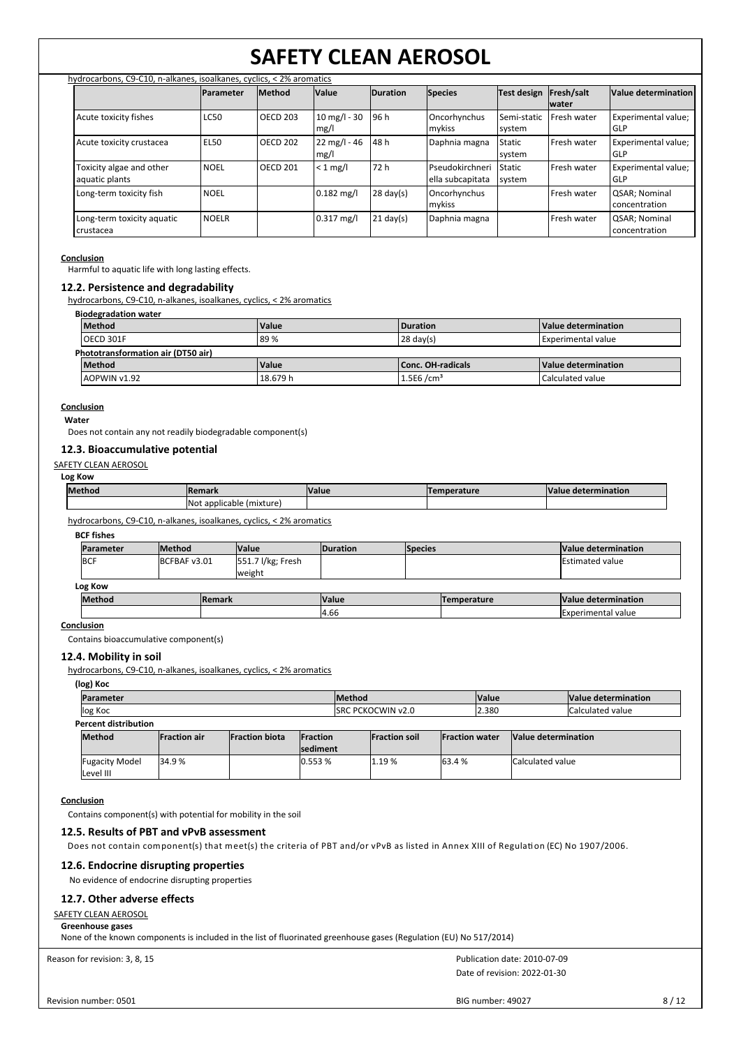|                                            | hydrocarbons, C9-C10, n-alkanes, isoalkanes, cyclics, < 2% aromatics |                 |                                |                     |                                     |                         |                            |                                |
|--------------------------------------------|----------------------------------------------------------------------|-----------------|--------------------------------|---------------------|-------------------------------------|-------------------------|----------------------------|--------------------------------|
|                                            | <b>Parameter</b>                                                     | <b>Method</b>   | <b>Value</b>                   | <b>Duration</b>     | <b>Species</b>                      | Test design             | Fresh/salt<br><b>water</b> | Value determination            |
| Acute toxicity fishes                      | <b>LC50</b>                                                          | <b>OECD 203</b> | $10 \text{ mg/l} - 30$<br>mg/l | 96 h                | Oncorhynchus<br>mykiss              | Semi-static<br>system   | Fresh water                | Experimental value;<br>GLP     |
| Acute toxicity crustacea                   | <b>EL50</b>                                                          | <b>OECD 202</b> | $22 \text{ mg/l} - 46$<br>mg/l | 48 h                | Daphnia magna                       | <b>Static</b><br>system | Fresh water                | Experimental value;<br>GLP     |
| Toxicity algae and other<br>aquatic plants | <b>NOEL</b>                                                          | <b>OECD 201</b> | $< 1$ mg/l                     | 72 h                | Pseudokirchneri<br>ella subcapitata | <b>Static</b><br>system | Fresh water                | Experimental value;<br>GLP     |
| Long-term toxicity fish                    | <b>NOEL</b>                                                          |                 | $0.182$ mg/l                   | $28 \text{ day}(s)$ | Oncorhynchus<br>mykiss              |                         | Fresh water                | QSAR; Nominal<br>concentration |
| Long-term toxicity aquatic<br>crustacea    | <b>NOELR</b>                                                         |                 | $0.317$ mg/l                   | $21 \text{ day}(s)$ | Daphnia magna                       |                         | Fresh water                | QSAR; Nominal<br>concentration |

#### **Conclusion**

Harmful to aquatic life with long lasting effects.

#### **12.2. Persistence and degradability**

hydrocarbons, C9-C10, n-alkanes, isoalkanes, cyclics, < 2% aromatics

**Biodegradation water**

| Method                             | <b>Value</b> | Duration              | Value determination       |  |  |  |  |
|------------------------------------|--------------|-----------------------|---------------------------|--|--|--|--|
| OECD 301F                          | 89%          | $28 \text{ day(s)}$   | <b>Experimental value</b> |  |  |  |  |
| Phototransformation air (DT50 air) |              |                       |                           |  |  |  |  |
| <b>Method</b>                      | <b>Value</b> | Conc. OH-radicals     | Value determination       |  |  |  |  |
| AOPWIN v1.92                       | 18.679 h     | 1.5E6/cm <sup>3</sup> | Calculated value          |  |  |  |  |

#### **Conclusion Water**

Does not contain any not readily biodegradable component(s)

#### **12.3. Bioaccumulative potential**

#### SAFETY CLEAN AEROSOL

**Log Kow**

| <b>Method</b> | Remark                                   | <b>Value</b> | mperature | <b>Value</b><br>e determination |
|---------------|------------------------------------------|--------------|-----------|---------------------------------|
|               | <b>Not</b><br>t applicable.<br>(mixture) |              |           |                                 |
|               |                                          |              |           |                                 |

hydrocarbons, C9-C10, n-alkanes, isoalkanes, cyclics, < 2% aromatics

| <b>BCF</b> fishes          |               |                             |                 |                    |                        |
|----------------------------|---------------|-----------------------------|-----------------|--------------------|------------------------|
| Parameter                  | <b>Method</b> | <b>Nalue</b>                | <b>Duration</b> | <b>Species</b>     | Value determination    |
| <b>BCF</b><br>BCFBAF v3.01 |               | 551.7 l/kg; Fresh<br>weight |                 |                    | <b>Estimated value</b> |
| Log Kow                    |               |                             |                 |                    |                        |
| <b>Method</b>              |               | <b>Remark</b>               | <b>Value</b>    | <b>Temperature</b> | Value determination    |
|                            |               |                             | 4.66            |                    | Experimental value     |

#### **Conclusion**

Contains bioaccumulative component(s)

#### **12.4. Mobility in soil**

Fugacity Model Level III

hydrocarbons, C9-C10, n-alkanes, isoalkanes, cyclics, < 2% aromatics

#### **(log) Koc**

|         | <b>Method</b><br>Parameter |                      |                        |                                     |  |                           |                       | <b>Value</b> |                     | Value determination      |
|---------|----------------------------|----------------------|------------------------|-------------------------------------|--|---------------------------|-----------------------|--------------|---------------------|--------------------------|
| log Koc |                            |                      |                        |                                     |  | <b>ISRC PCKOCWIN v2.0</b> |                       | 2.380        |                     | <b>ICalculated value</b> |
|         | Percent distribution       |                      |                        |                                     |  |                           |                       |              |                     |                          |
|         | <b>Method</b>              | <b>IFraction air</b> | <b>IFraction biota</b> | <b>IFraction</b><br><b>sediment</b> |  | <b>Fraction soil</b>      | <b>Fraction water</b> |              | Value determination |                          |

34.9 % 0.553 % 1.19 % 63.4 % Calculated value

#### **Conclusion**

Contains component(s) with potential for mobility in the soil

#### **12.5. Results of PBT and vPvB assessment**

Does not contain component(s) that meet(s) the criteria of PBT and/or vPvB as listed in Annex XIII of Regulation (EC) No 1907/2006.

### **12.6. Endocrine disrupting properties**

No evidence of endocrine disrupting properties

#### **12.7. Other adverse effects**

**SAFETY CLEAN AEROSOL** 

#### **Greenhouse gases**

None of the known components is included in the list of fluorinated greenhouse gases (Regulation (EU) No 517/2014)

Reason for revision: 3, 8, 15

Date of revision: 2022-01-30 Publication date: 2010-07-09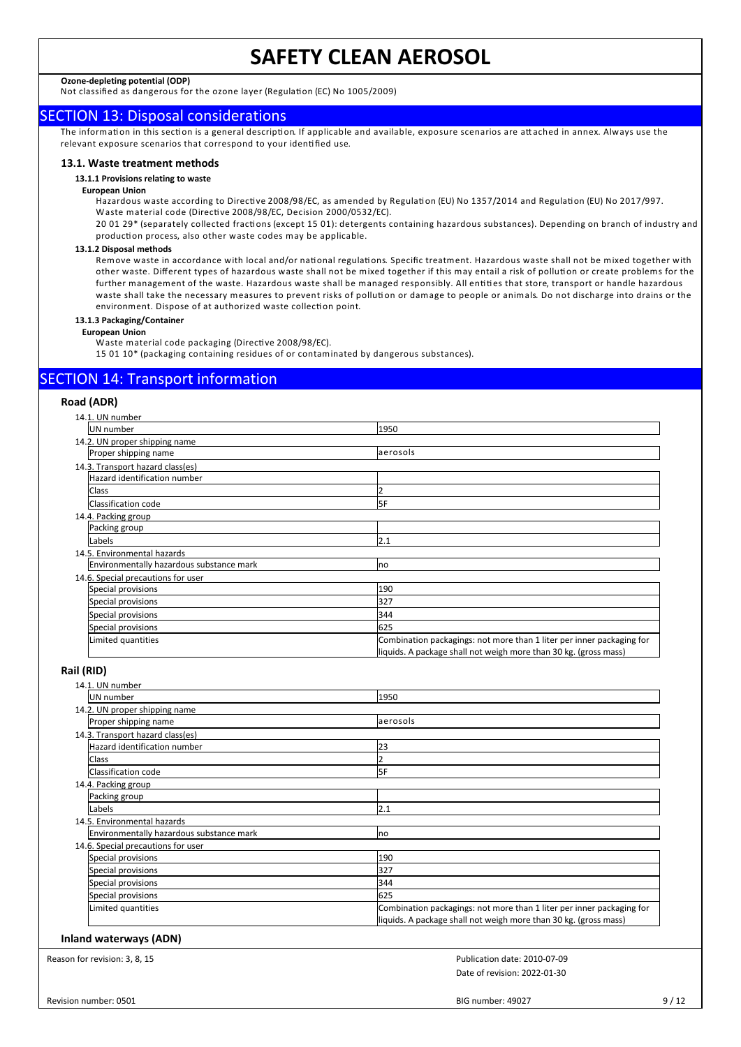**Ozone-depleting potential (ODP)**

Not classified as dangerous for the ozone layer (Regulation (EC) No 1005/2009)

## SECTION 13: Disposal considerations

The information in this section is a general description. If applicable and available, exposure scenarios are attached in annex. Always use the relevant exposure scenarios that correspond to your identified use.

#### **13.1. Waste treatment methods**

#### **13.1.1 Provisions relating to waste**

#### **European Union**

Hazardous waste according to Directive 2008/98/EC, as amended by Regulation (EU) No 1357/2014 and Regulation (EU) No 2017/997. Waste material code (Directive 2008/98/EC, Decision 2000/0532/EC).

20 01 29\* (separately collected fractions (except 15 01): detergents containing hazardous substances). Depending on branch of industry and production process, also other waste codes may be applicable.

#### **13.1.2 Disposal methods**

Remove waste in accordance with local and/or national regulations. Specific treatment. Hazardous waste shall not be mixed together with other waste. Different types of hazardous waste shall not be mixed together if this may entail a risk of pollution or create problems for the further management of the waste. Hazardous waste shall be managed responsibly. All entities that store, transport or handle hazardous waste shall take the necessary measures to prevent risks of pollution or damage to people or animals. Do not discharge into drains or the environment. Dispose of at authorized waste collection point.

#### **13.1.3 Packaging/Container**

#### **European Union**

Waste material code packaging (Directive 2008/98/EC).

15 01 10\* (packaging containing residues of or contaminated by dangerous substances).

## SECTION 14: Transport information

#### **Road (ADR)**

| 14.1. UN number                          |                                                                       |
|------------------------------------------|-----------------------------------------------------------------------|
| UN number                                | 1950                                                                  |
| 14.2. UN proper shipping name            |                                                                       |
| Proper shipping name                     | aerosols                                                              |
| 14.3. Transport hazard class(es)         |                                                                       |
| Hazard identification number             |                                                                       |
| <b>Class</b>                             |                                                                       |
| Classification code                      | 5F                                                                    |
| 14.4. Packing group                      |                                                                       |
| Packing group                            |                                                                       |
| Labels                                   | 2.1                                                                   |
| 14.5. Environmental hazards              |                                                                       |
| Environmentally hazardous substance mark | <b>Ino</b>                                                            |
| 14.6. Special precautions for user       |                                                                       |
| Special provisions                       | 190                                                                   |
| Special provisions                       | 327                                                                   |
| Special provisions                       | 344                                                                   |
| Special provisions                       | 625                                                                   |
| Limited quantities                       | Combination packagings: not more than 1 liter per inner packaging for |
|                                          | liquids. A package shall not weigh more than 30 kg. (gross mass)      |

#### **Rail (RID)**

| 14.1. UN number                          |                                                                       |
|------------------------------------------|-----------------------------------------------------------------------|
| UN number                                | 1950                                                                  |
| 14.2. UN proper shipping name            |                                                                       |
| Proper shipping name                     | laerosols                                                             |
| 14.3. Transport hazard class(es)         |                                                                       |
| Hazard identification number             | 23                                                                    |
| Class                                    |                                                                       |
| Classification code                      | 5F                                                                    |
| 14.4. Packing group                      |                                                                       |
| Packing group                            |                                                                       |
| Labels                                   | 2.1                                                                   |
| 14.5. Environmental hazards              |                                                                       |
| Environmentally hazardous substance mark | <b>Ino</b>                                                            |
| 14.6. Special precautions for user       |                                                                       |
| Special provisions                       | 190                                                                   |
| Special provisions                       | 327                                                                   |
| Special provisions                       | 344                                                                   |
| Special provisions                       | 625                                                                   |
| Limited quantities                       | Combination packagings: not more than 1 liter per inner packaging for |
|                                          | liquids. A package shall not weigh more than 30 kg. (gross mass)      |

#### **Inland waterways (ADN)**

Reason for revision: 3, 8, 15

Date of revision: 2022-01-30 Publication date: 2010-07-09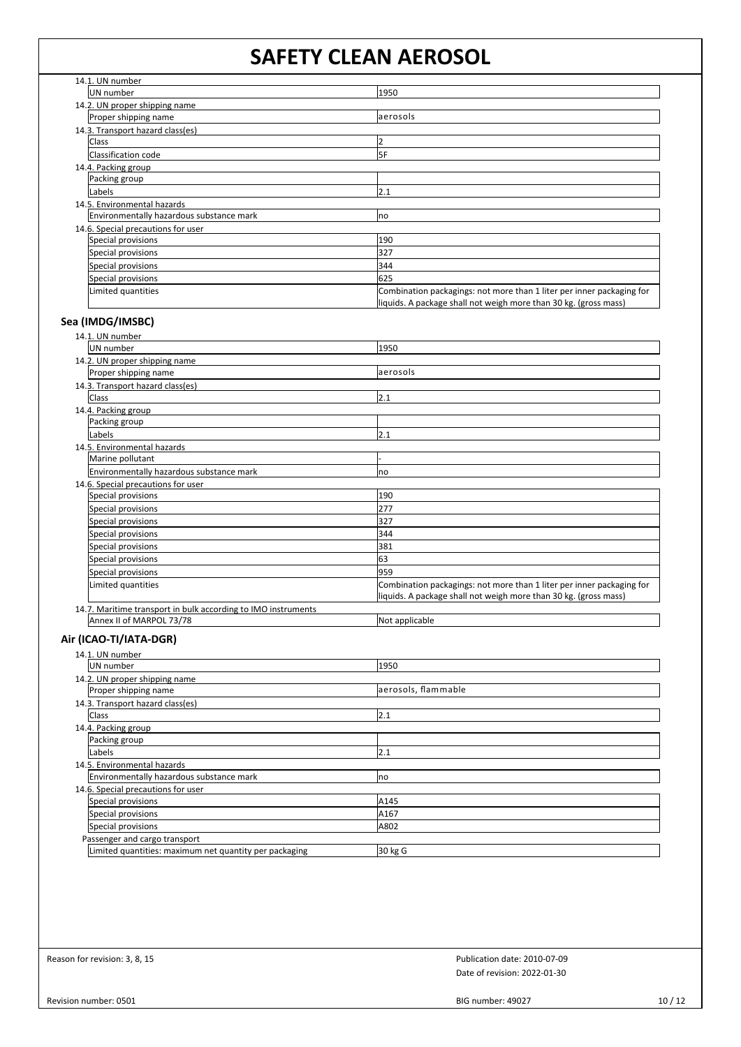| 14.1. UN number                          |                                                                       |  |
|------------------------------------------|-----------------------------------------------------------------------|--|
| UN number                                | 1950                                                                  |  |
| 14.2. UN proper shipping name            |                                                                       |  |
| Proper shipping name                     | aerosols                                                              |  |
| 14.3. Transport hazard class(es)         |                                                                       |  |
| Class                                    |                                                                       |  |
| Classification code                      | 5F                                                                    |  |
| 14.4. Packing group                      |                                                                       |  |
| Packing group                            |                                                                       |  |
| Labels                                   | 2.1                                                                   |  |
| 14.5. Environmental hazards              |                                                                       |  |
| Environmentally hazardous substance mark | no                                                                    |  |
| 14.6. Special precautions for user       |                                                                       |  |
| Special provisions                       | 190                                                                   |  |
| Special provisions                       | 327                                                                   |  |
| Special provisions                       | 344                                                                   |  |
| Special provisions                       | 625                                                                   |  |
| Limited quantities                       | Combination packagings: not more than 1 liter per inner packaging for |  |
|                                          | liquids. A package shall not weigh more than 30 kg. (gross mass)      |  |

## **Sea (IMDG/IMSBC)**

| 14.1. UN number                                               |                                                                       |  |
|---------------------------------------------------------------|-----------------------------------------------------------------------|--|
| UN number                                                     | 1950                                                                  |  |
| 14.2. UN proper shipping name                                 |                                                                       |  |
| Proper shipping name                                          | aerosols                                                              |  |
| 14.3. Transport hazard class(es)                              |                                                                       |  |
| Class                                                         | 2.1                                                                   |  |
| 14.4. Packing group                                           |                                                                       |  |
| Packing group                                                 |                                                                       |  |
| Labels                                                        | 2.1                                                                   |  |
| 14.5. Environmental hazards                                   |                                                                       |  |
| Marine pollutant                                              |                                                                       |  |
| Environmentally hazardous substance mark                      | no                                                                    |  |
| 14.6. Special precautions for user                            |                                                                       |  |
| Special provisions                                            | 190                                                                   |  |
| Special provisions                                            | 277                                                                   |  |
| Special provisions                                            | 327                                                                   |  |
| Special provisions                                            | 344                                                                   |  |
| Special provisions                                            | 381                                                                   |  |
| Special provisions                                            | 63                                                                    |  |
| Special provisions                                            | 959                                                                   |  |
| Limited quantities                                            | Combination packagings: not more than 1 liter per inner packaging for |  |
|                                                               | liquids. A package shall not weigh more than 30 kg. (gross mass)      |  |
| 14.7. Maritime transport in bulk according to IMO instruments |                                                                       |  |
| Annex II of MARPOL 73/78                                      | Not applicable                                                        |  |

## **Air (ICAO-TI/IATA-DGR)**

| 14.1. UN number                                        |                     |  |
|--------------------------------------------------------|---------------------|--|
| UN number                                              | 1950                |  |
| 14.2. UN proper shipping name                          |                     |  |
| Proper shipping name                                   | aerosols, flammable |  |
| 14.3. Transport hazard class(es)                       |                     |  |
| <b>Class</b>                                           | 2.1                 |  |
| 14.4. Packing group                                    |                     |  |
| Packing group                                          |                     |  |
| Labels                                                 | 2.1                 |  |
| 14.5. Environmental hazards                            |                     |  |
| Environmentally hazardous substance mark               | <b>Ino</b>          |  |
| 14.6. Special precautions for user                     |                     |  |
| Special provisions                                     | A145                |  |
| Special provisions                                     | A167                |  |
| Special provisions                                     | A802                |  |
| Passenger and cargo transport                          |                     |  |
| Limited quantities: maximum net quantity per packaging | 30 kg G             |  |

Reason for revision: 3, 8, 15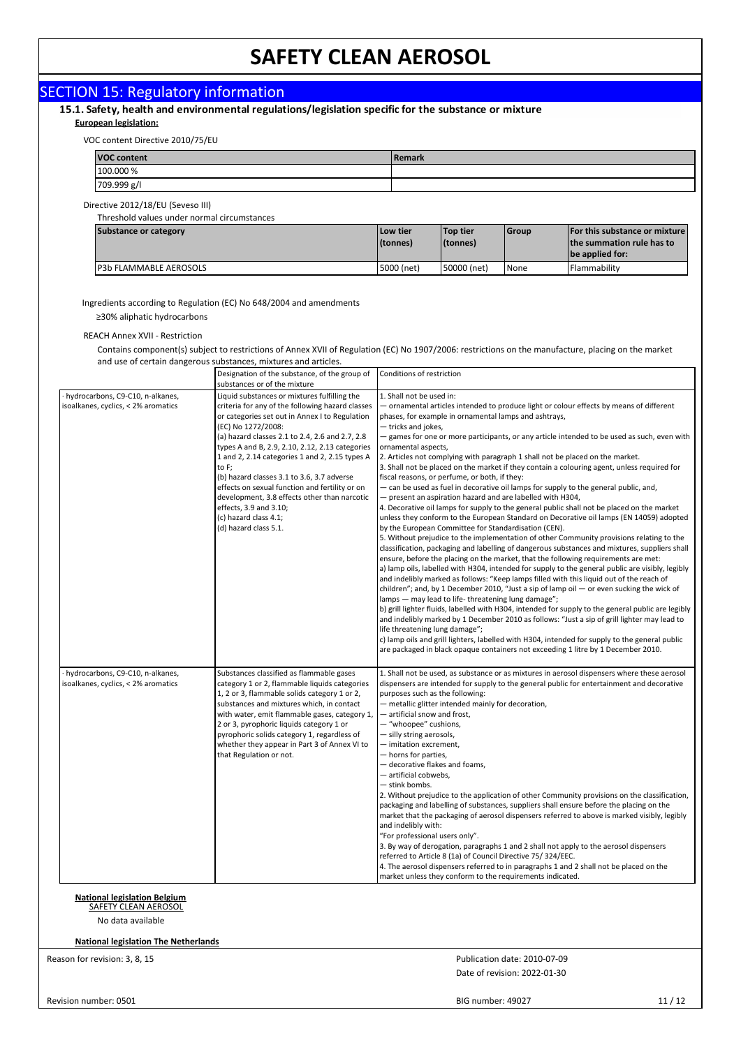#### SECTION 15: Regulatory information 15.1. Safety, health and environmental regulations/legislation specific for the substance or mixture **European legislation:** VOC content Directive 2010/75/EU **VOC content Remark** 100.000 % 709.999 g/l Directive 2012/18/EU (Seveso III) Threshold values under normal circumstances **Substance or category Low tier Top tier Group For this substance or mixture (tonnes) (tonnes) the summation rule has to be applied for:** P3b FLAMMABLE AEROSOLS **FLAMMABLE AEROSOLS** 5000 (net) 50000 (net) 150000 (net) None Flammability Ingredients according to Regulation (EC) No 648/2004 and amendments ≥30% aliphatic hydrocarbons REACH Annex XVII - Restriction Contains component(s) subject to restrictions of Annex XVII of Regulation (EC) No 1907/2006: restrictions on the manufacture, placing on the market and use of certain dangerous substances, mixtures and articles. Designation of the substance, of the group of Conditions of restriction substances or of the mixture · hydrocarbons, C9-C10, n-alkanes, Liquid substances or mixtures fulfilling the 1. Shall not be used in: isoalkanes, cyclics, < 2% aromatics criteria for any of the following hazard classes — ornamental articles intended to produce light or colour effects by means of different or categories set out in Annex I to Regulation phases, for example in ornamental lamps and ashtrays, (EC) No 1272/2008: — tricks and jokes, (a) hazard classes 2.1 to 2.4, 2.6 and 2.7, 2.8 — games for one or more participants, or any article intended to be used as such, even with types A and B, 2.9, 2.10, 2.12, 2.13 categories ornamental aspects, 1 and 2, 2.14 categories 1 and 2, 2.15 types A 2. Articles not complying with paragraph 1 shall not be placed on the market. 3. Shall not be placed on the market if they contain a colouring agent, unless required for to F; (b) hazard classes 3.1 to 3.6, 3.7 adverse fiscal reasons, or perfume, or both, if they: effects on sexual function and fertility or on — can be used as fuel in decorative oil lamps for supply to the general public, and, development, 3.8 effects other than narcotic — present an aspiration hazard and are labelled with H304, effects, 3.9 and 3.10; 4. Decorative oil lamps for supply to the general public shall not be placed on the market unless they conform to the European Standard on Decorative oil lamps (EN 14059) adopted  $(c)$  hazard class 4.1; by the European Committee for Standardisation (CEN). (d) hazard class 5.1. 5. Without prejudice to the implementation of other Community provisions relating to the classification, packaging and labelling of dangerous substances and mixtures, suppliers shall ensure, before the placing on the market, that the following requirements are met: a) lamp oils, labelled with H304, intended for supply to the general public are visibly, legibly and indelibly marked as follows: "Keep lamps filled with this liquid out of the reach of children"; and, by 1 December 2010, "Just a sip of lamp oil — or even sucking the wick of - may lead to life- threatening lung damage"; b) grill lighter fluids, labelled with H304, intended for supply to the general public are legibly and indelibly marked by 1 December 2010 as follows: "Just a sip of grill lighter may lead to life threatening lung damage"; c) lamp oils and grill lighters, labelled with H304, intended for supply to the general public are packaged in black opaque containers not exceeding 1 litre by 1 December 2010. · hydrocarbons, C9-C10, n-alkanes, Substances classified as flammable gases 1. Shall not be used, as substance or as mixtures in aerosol dispensers where these aerosol isoalkanes, cyclics, < 2% aromatics category 1 or 2, flammable liquids categories dispensers are intended for supply to the general public for entertainment and decorative 1, 2 or 3, flammable solids category 1 or 2, purposes such as the following: substances and mixtures which, in contact — metallic glitter intended mainly for decoration, with water, emit flammable gases, category 1, — artificial snow and frost, 2 or 3, pyrophoric liquids category 1 or — "whoopee" cushions, pyrophoric solids category 1, regardless of — silly string aerosols, whether they appear in Part 3 of Annex VI to — imitation excrement, that Regulation or not. — horns for parties, — decorative flakes and foams, artificial cobwebs. — stink bombs. 2. Without prejudice to the application of other Community provisions on the classification, packaging and labelling of substances, suppliers shall ensure before the placing on the market that the packaging of aerosol dispensers referred to above is marked visibly, legibly and indelibly with: "For professional users only". 3. By way of derogation, paragraphs 1 and 2 shall not apply to the aerosol dispensers referred to Article 8 (1a) of Council Directive 75/ 324/EEC. 4. The aerosol dispensers referred to in paragraphs 1 and 2 shall not be placed on the market unless they conform to the requirements indicated. **National legislation Belgium** SAFETY CLEAN AEROSOL No data available **National legislation The Netherlands**Reason for revision: 3, 8, 15 Publication date: 2010-07-09 Date of revision: 2022-01-30

BIG number: 49027 11 / 12